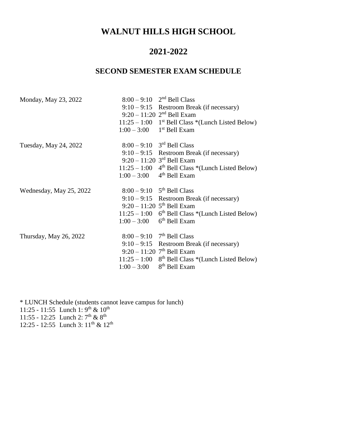## **WALNUT HILLS HIGH SCHOOL**

### **2021-2022**

### **SECOND SEMESTER EXAM SCHEDULE**

| Monday, May 23, 2022    |                | $8:00 - 9:10$ $2nd$ Bell Class                                  |
|-------------------------|----------------|-----------------------------------------------------------------|
|                         |                | $9:10-9:15$ Restroom Break (if necessary)                       |
|                         |                | $9:20 - 11:20$ 2 <sup>nd</sup> Bell Exam                        |
|                         |                | $11:25 - 1:00$ 1 <sup>st</sup> Bell Class *(Lunch Listed Below) |
|                         | $1:00 - 3:00$  | 1 <sup>st</sup> Bell Exam                                       |
| Tuesday, May 24, 2022   |                | $8:00 - 9:10$ 3 <sup>rd</sup> Bell Class                        |
|                         |                | $9:10-9:15$ Restroom Break (if necessary)                       |
|                         |                | $9:20 - 11:20$ 3 <sup>rd</sup> Bell Exam                        |
|                         |                | $11:25 - 1:00$ 4 <sup>th</sup> Bell Class *(Lunch Listed Below) |
|                         | $1:00 - 3:00$  | $4th$ Bell Exam                                                 |
| Wednesday, May 25, 2022 |                | $8:00 - 9:10$ 5 <sup>th</sup> Bell Class                        |
|                         |                | $9:10-9:15$ Restroom Break (if necessary)                       |
|                         |                | $9:20 - 11:20$ 5 <sup>th</sup> Bell Exam                        |
|                         |                | $11:25 - 1:00$ 6 <sup>th</sup> Bell Class *(Lunch Listed Below) |
|                         | $1:00 - 3:00$  | $6th$ Bell Exam                                                 |
| Thursday, May 26, 2022  | $8:00 - 9:10$  | $7th$ Bell Class                                                |
|                         |                | $9:10-9:15$ Restroom Break (if necessary)                       |
|                         |                | $9:20 - 11:20$ 7 <sup>th</sup> Bell Exam                        |
|                         | $11:25 - 1:00$ | 8 <sup>th</sup> Bell Class *(Lunch Listed Below)                |
|                         |                |                                                                 |

\* LUNCH Schedule (students cannot leave campus for lunch) 11:25 - 11:55 Lunch 1: 9<sup>th</sup> & 10<sup>th</sup> 11:55 - 12:25 Lunch 2:  $7^{\text{th}}$  &  $8^{\text{th}}$ 12:25 - 12:55 Lunch 3: 11<sup>th</sup> & 12<sup>th</sup>